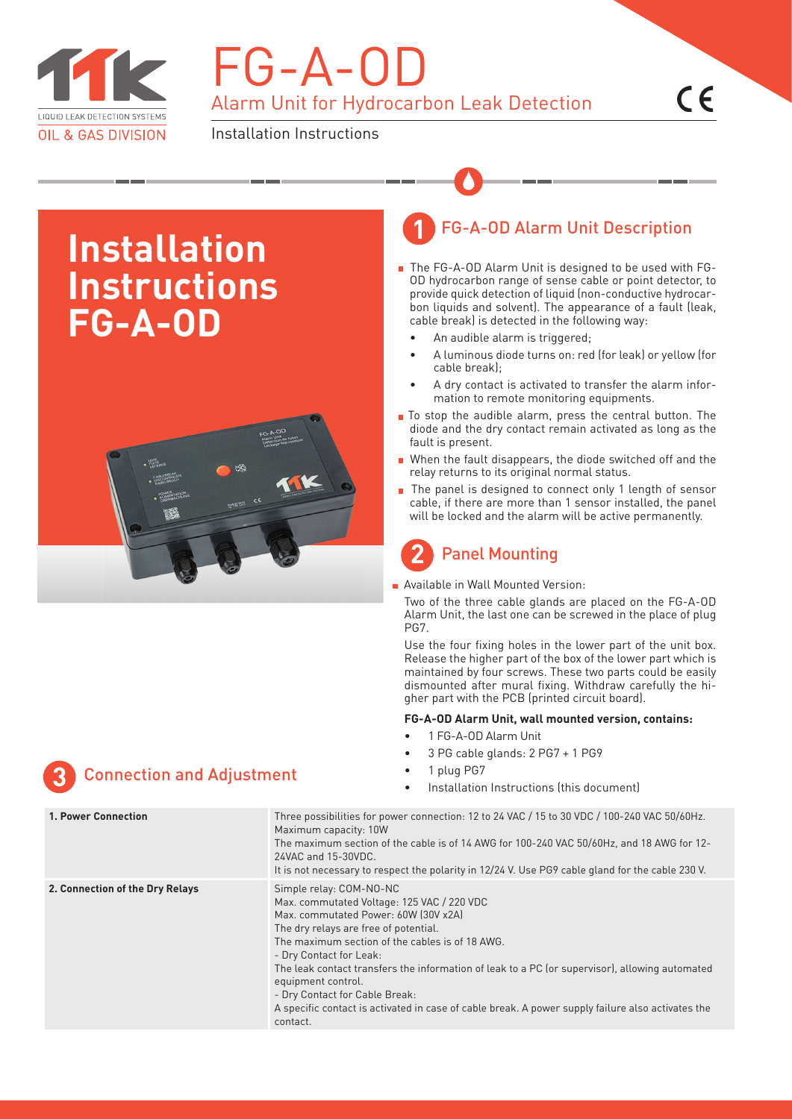

# FG-A-OD Alarm Unit for Hydrocarbon Leak Detection

Installation Instructions

## **Installation Instructions FG-A-OD**



### FG-A-OD Alarm Unit Description **1**

- The FG-A-OD Alarm Unit is designed to be used with FG-OD hydrocarbon range of sense cable or point detector, to provide quick detection of liquid (non-conductive hydrocarbon liquids and solvent). The appearance of a fault (leak, cable break) is detected in the following way:
	- An audible alarm is triggered;
	- A luminous diode turns on: red (for leak) or yellow (for cable break);
	- A dry contact is activated to transfer the alarm information to remote monitoring equipments.
- To stop the audible alarm, press the central button. The diode and the dry contact remain activated as long as the fault is present.
- When the fault disappears, the diode switched off and the relay returns to its original normal status.
- The panel is designed to connect only 1 length of sensor cable, if there are more than 1 sensor installed, the panel will be locked and the alarm will be active permanently.

### Panel Mounting **2**

**Available in Wall Mounted Version:** 

Two of the three cable glands are placed on the FG-A-OD Alarm Unit, the last one can be screwed in the place of plug PG7.

Use the four fixing holes in the lower part of the unit box. Release the higher part of the box of the lower part which is maintained by four screws. These two parts could be easily dismounted after mural fixing. Withdraw carefully the higher part with the PCB (printed circuit board).

### **FG-A-OD Alarm Unit, wall mounted version, contains:**

- 1 FG-A-OD Alarm Unit
- 3 PG cable glands: 2 PG7 + 1 PG9
- 
- 

| <b>1. Power Connection</b>      | Three possibilities for power connection: 12 to 24 VAC / 15 to 30 VDC / 100-240 VAC 50/60Hz.<br>Maximum capacity: 10W<br>The maximum section of the cable is of 14 AWG for 100-240 VAC 50/60Hz, and 18 AWG for 12-<br>24VAC and 15-30VDC.<br>It is not necessary to respect the polarity in 12/24 V. Use PG9 cable gland for the cable 230 V.                                                                                                                                                                   |
|---------------------------------|-----------------------------------------------------------------------------------------------------------------------------------------------------------------------------------------------------------------------------------------------------------------------------------------------------------------------------------------------------------------------------------------------------------------------------------------------------------------------------------------------------------------|
| 2. Connection of the Dry Relays | Simple relay: COM-NO-NC<br>Max. commutated Voltage: 125 VAC / 220 VDC<br>Max. commutated Power: 60W (30V x2A)<br>The dry relays are free of potential.<br>The maximum section of the cables is of 18 AWG.<br>- Dry Contact for Leak:<br>The leak contact transfers the information of leak to a PC (or supervisor), allowing automated<br>equipment control.<br>- Dry Contact for Cable Break:<br>A specific contact is activated in case of cable break. A power supply failure also activates the<br>contact. |

## Connection and Adjustment • 1 plug PG7 **3** • Installation Instructions (this document)